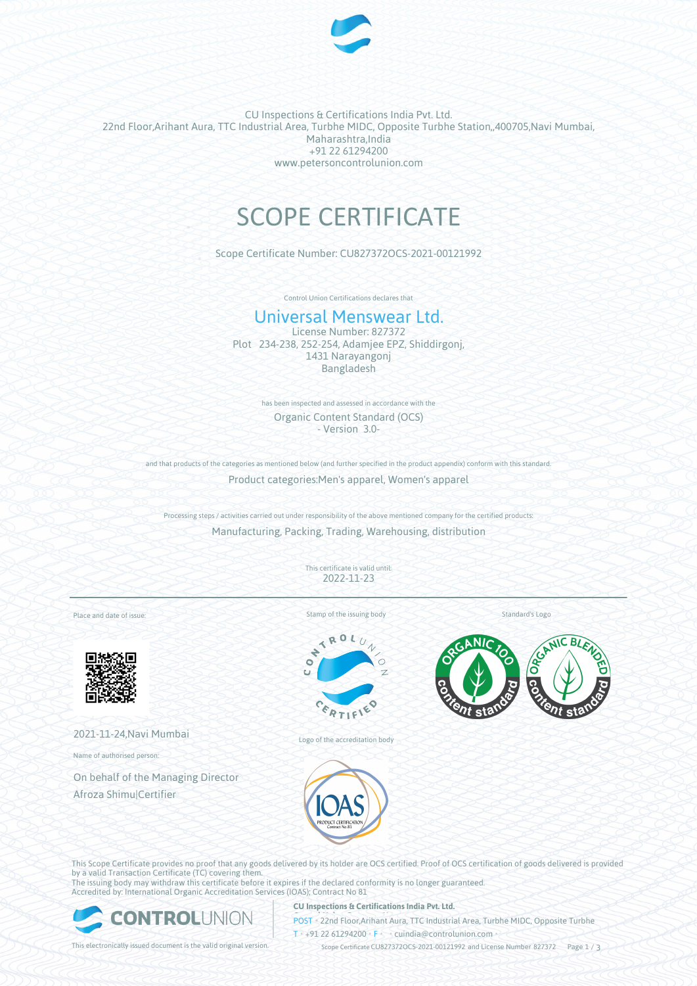

CU Inspections & Certifications India Pvt. Ltd. 22nd Floor,Arihant Aura, TTC Industrial Area, Turbhe MIDC, Opposite Turbhe Station,,400705,Navi Mumbai, Maharashtra,India +91 22 61294200 www.petersoncontrolunion.com

# SCOPE CERTIFICATE

Scope Certificate Number: CU827372OCS-2021-00121992

Control Union Certifications declares that

## Universal Menswear Ltd.

License Number: 827372 Plot 234-238, 252-254, Adamjee EPZ, Shiddirgonj, 1431 Narayangonj Bangladesh

> has been inspected and assessed in accordance with the Organic Content Standard (OCS) - Version 3.0-

and that products of the categories as mentioned below (and further specified in the product appendix) conform with this standard Product categories:Men's apparel, Women's apparel

Processing steps / activities carried out under responsibility of the above mentioned company for the certified products: Manufacturing, Packing, Trading, Warehousing, distribution

> This certificate is valid until: 2022-11-23

Place and date of issue:



2021-11-24,Navi Mumbai

Name of authorised person:

On behalf of the Managing Director Afroza Shimu|Certifier

Stamp of the issuing body

 $x_0$ 

Standard's Logo



Logo of the accreditation body

This Scope Certificate provides no proof that any goods delivered by its holder are OCS certified. Proof of OCS certification of goods delivered is provided by a valid Transaction Certificate (TC) covering them. The issuing body may withdraw this certificate before it expires if the declared conformity is no longer guaranteed.

Accredited by: International Organic Accreditation Services (IOAS); Contract No 81



#### **CU Inspections & Certifications India Pvt. Ltd.**

**POST** • 22nd Floor,Arihant Aura, TTC Industrial Area, Turbhe MIDC, Opposite Turbhe  $T* + 91 22 61294200$  **F**  $\cdot$  cuindia @controlunion.com •

This electronically issued document is the valid original version. Scope Certificate CU827372OCS-2021-00121992 and License Number 827372 Page 1 / 3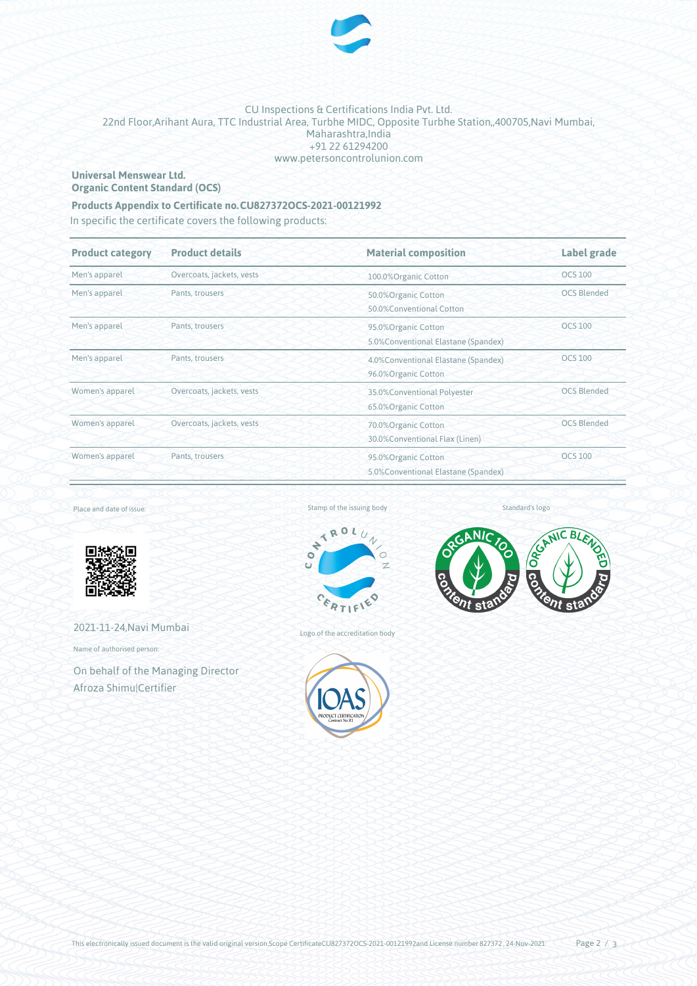

#### CU Inspections & Certifications India Pvt. Ltd. 22nd Floor,Arihant Aura, TTC Industrial Area, Turbhe MIDC, Opposite Turbhe Station,,400705,Navi Mumbai, Maharashtra,India +91 22 61294200 www.petersoncontrolunion.com

#### **Universal Menswear Ltd. Organic Content Standard (OCS)**

### **Products Appendix to Certificate no.CU827372OCS-2021-00121992**

In specific the certificate covers the following products:

| <b>Product category</b> | <b>Product details</b>    | <b>Material composition</b>                                                 | Label grade<br><b>OCS 100</b> |  |
|-------------------------|---------------------------|-----------------------------------------------------------------------------|-------------------------------|--|
| Men's apparel           | Overcoats, jackets, vests | 100.0%Organic Cotton                                                        |                               |  |
| Men's apparel           | Pants, trousers           | 50.0%Organic Cotton<br>50.0%Conventional Cotton                             | <b>OCS Blended</b>            |  |
| Men's apparel           | Pants, trousers           | 95.0%Organic Cotton<br>5.0% Conventional Elastane (Spandex)                 | <b>OCS 100</b>                |  |
| Men's apparel           | Pants, trousers           | 4.0% Conventional Elastane (Spandex)<br>96.0%Organic Cotton                 | <b>OCS 100</b>                |  |
| Women's apparel         | Overcoats, jackets, vests | 35.0%Conventional Polyester<br>65.0%Organic Cotton                          | <b>OCS Blended</b>            |  |
| Women's apparel         | Overcoats, jackets, vests | <b>OCS Blended</b><br>70.0%Organic Cotton<br>30.0%Conventional Flax (Linen) |                               |  |
| Women's apparel         | Pants, trousers           | 95.0% Organic Cotton<br>5.0% Conventional Elastane (Spandex)                | <b>OCS 100</b>                |  |

Place and date of issue:



2021-11-24,Navi Mumbai

Name of authorised person:

On behalf of the Managing Director Afroza Shimu|Certifier





Logo of the accreditation body



Standard's logo